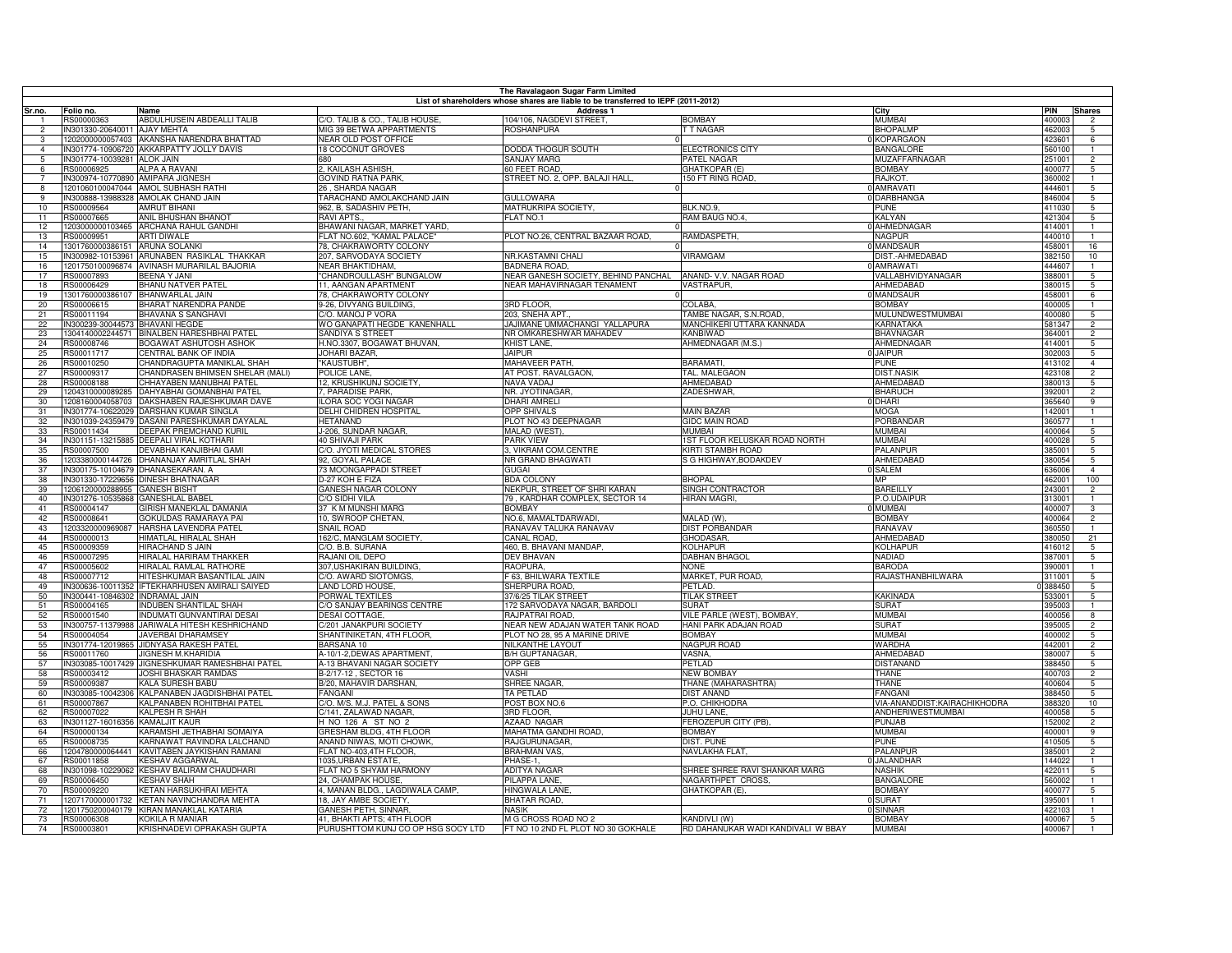|                 | The Ravalagaon Sugar Farm Limited                                                  |                                                                |                                                       |                                                   |                                           |                                           |                  |                                  |  |
|-----------------|------------------------------------------------------------------------------------|----------------------------------------------------------------|-------------------------------------------------------|---------------------------------------------------|-------------------------------------------|-------------------------------------------|------------------|----------------------------------|--|
|                 | List of shareholders whose shares are liable to be transferred to IEPF (2011-2012) |                                                                |                                                       |                                                   |                                           |                                           |                  |                                  |  |
| Sr.no.          | Folio no.                                                                          | Name<br>ABDULHUSEIN ABDEALLI TALIB                             | C/O. TALIB & CO., TALIB HOUSE.                        | <b>Address 1</b><br>104/106. NAGDEVI STREET.      | <b>BOMBAY</b>                             | City<br><b>MUMBAI</b>                     | <b>PIN</b>       | <b>Shares</b>                    |  |
| $\overline{2}$  | RS00000363<br>IN301330-20640011 AJAY MEHTA                                         |                                                                | MIG 39 BETWA APPARTMENTS                              | ROSHANPURA                                        | <b>T T NAGAR</b>                          | <b>BHOPALMP</b>                           | 400003<br>462003 | $\overline{2}$<br>5              |  |
| 3               |                                                                                    | 1202000000057403 AKANSHA NARENDRA BHATTAD                      | <b>NEAR OLD POST OFFICE</b>                           |                                                   |                                           | <b>KOPARGAON</b>                          | 423601           | 6                                |  |
| $\overline{4}$  |                                                                                    | IN301774-10906720 AKKARPATTY JOLLY DAVIS                       | 18 COCONUT GROVES                                     | DODDA THOGUR SOUTH                                | <b>ELECTRONICS CITY</b>                   | <b>BANGALORE</b>                          | 560100           |                                  |  |
|                 | IN301774-10039281 ALOK JAIN                                                        |                                                                | 680                                                   | <b>SANJAY MARG</b>                                | PATEL NAGAR                               | MUZAFFARNAGAR                             | 251001           | $\overline{2}$                   |  |
| 6               | RS00006925                                                                         | <b>ALPA A RAVANI</b>                                           | 2, KAILASH ASHISH,                                    | 60 FEET ROAD,                                     | GHATKOPAR (E)                             | <b>BOMBAY</b>                             | 400077           | $\overline{5}$                   |  |
| 7               |                                                                                    | IN300974-10770890 AMIPARA JIGNESH                              | <b>GOVIND RATNA PARK</b>                              | STREET NO. 2, OPP. BALAJI HALL                    | 150 FT RING ROAD.                         | <b>RAJKOT</b>                             | 360002           |                                  |  |
| $\mathbf{R}$    |                                                                                    | 1201060100047044 AMOL SUBHASH RATHI                            | 26 . SHARDA NAGAR                                     |                                                   |                                           | <b>AMRAVATI</b>                           | 444601           | 5                                |  |
| $\overline{q}$  |                                                                                    | IN300888-13988328 AMOLAK CHAND JAIN                            | <b>TARACHAND AMOLAKCHAND JAIN</b>                     | <b>GULLOWARA</b>                                  |                                           | <b>DARBHANGA</b>                          | 346004           | $\overline{5}$                   |  |
| 10              | RS00009564                                                                         | <b>AMRUT BIHANI</b>                                            | 962, B, SADASHIV PETH,                                | MATRUKRIPA SOCIETY,                               | BLK.NO.9,                                 | <b>PUNE</b>                               | 411030           | $5^{\circ}$                      |  |
| 11              | 3S00007665                                                                         | <b>ANIL BHUSHAN BHANOT</b>                                     | <b>RAVI APTS</b>                                      | <b>FLAT NO.1</b>                                  | RAM BAUG NO.4                             | <b>KALYAN</b>                             | 421304           | 5                                |  |
| 12 <sup>°</sup> |                                                                                    | 1203000000103465 ARCHANA RAHUL GANDHI                          | BHAWANI NAGAR, MARKET YARD.                           |                                                   |                                           | 0 AHMEDNAGAR<br><b>NAGPUR</b>             | 414001           |                                  |  |
| 13              | RS00009951                                                                         | <b>ARTI DIWALE</b>                                             | FLAT NO.602, "KAMAL PALACE"<br>78. CHAKRAWORTY COLONY | PLOT NO.26, CENTRAL BAZAAR ROAD,                  | RAMDASPETH,                               | <b>MANDSAUR</b>                           | 440010<br>458001 |                                  |  |
| 14<br>15        | 1301760000386151 ARUNA SOLANKI                                                     | N300982-10153961 ARUNABEN RASIKLAL THAKKAR                     | 207, SARVODAYA SOCIETY                                | NR.KASTAMNI CHALI                                 | <b>VIRAMGAM</b>                           | DIST.-AHMEDABAD                           | 382150           | 16<br>10                         |  |
| 16              |                                                                                    | 201750100096874 AVINASH MURARILAL BAJORIA                      | <b>JEAR BHAKTIDHAM.</b>                               | BADNERA ROAD.                                     |                                           | <b>AMRAWATI</b>                           | 444607           | $\mathbf{1}$                     |  |
| 17              | 3500007893                                                                         | BEENA Y JANI                                                   | CHANDROULLASH" BUNGALOW                               | NEAR GANESH SOCIETY, BEHIND PANCHAL               | ANAND- V.V. NAGAR ROAD                    | <b>VALLABHVIDYANAGAR</b>                  | 88001            | 5                                |  |
| 18              | RS00006429                                                                         | <b>BHANU NATVER PATEL</b>                                      | 1. AANGAN APARTMENT                                   | NEAR MAHAVIRNAGAR TENAMENT                        | <b>VASTRAPUR,</b>                         | AHMEDABAD                                 | 38001            | 5                                |  |
| 19              | 301760000386107                                                                    | <b>BHANWARLAL JAIN</b>                                         | 8. CHAKRAWORTY COLONY                                 |                                                   |                                           | <b>MANDSAUR</b>                           | 158001           | 6                                |  |
| 20              | RS00006615                                                                         | BHARAT NARENDRA PANDE                                          | 9-26, DIVYANG BUILDING,                               | 3RD FLOOR.                                        | COLABA.                                   | <b>BOMBAY</b>                             | 400005           |                                  |  |
| 21              | RS00011194                                                                         | BHAVANA S SANGHAVI                                             | C/O. MANOJ P VORA                                     | 203, SNEHA APT.                                   | TAMBE NAGAR, S.N.ROAD                     | MULUNDWESTMUMBAI                          | 400080           | 5                                |  |
| 22              | IN300239-30044573 BHAVANI HEGDE                                                    |                                                                | WO GANAPATI HEGDE KANENHALL                           | JAJIMANE UMMACHANGI YALLAPURA                     | MANCHIKERI UTTARA KANNADA                 | KARNATAKA                                 | 581347           | $\overline{2}$                   |  |
| 23              |                                                                                    | 1304140002244571 BINALBEN HARESHBHAI PATEL                     | SANDIYA S STREET                                      | NR OMKARESHWAR MAHADEV                            | <b>KANBIWAD</b>                           | <b>BHAVNAGAF</b>                          | 364001           | $\overline{2}$                   |  |
| 24              | RS00008746                                                                         | <b>BOGAWAT ASHUTOSH ASHOK</b>                                  | H.NO.3307, BOGAWAT BHUVAN.                            | KHIST LANE.                                       | AHMEDNAGAR (M.S.)                         | AHMEDNAGAR                                | 414001           | 5                                |  |
| 25              | <b>BS00011717</b>                                                                  | CENTRAL BANK OF INDIA                                          | JOHARI BAZAR.                                         | <b>JAIPUR</b>                                     |                                           | <b>JAIPUR</b>                             | 302003           | 5                                |  |
| 26<br>27        | RS00010250<br>RS00009317                                                           | CHANDRAGUPTA MANIKLAL SHAH<br>CHANDRASEN BHIMSEN SHELAR (MALI) | "KAUSTUBH",<br>POLICE LANE.                           | MAHAVEER PATH,<br>AT POST. RAVALGAON,             | BARAMATI,<br>TAL. MALEGAON                | <b>PUNE</b><br><b>DIST.NASIK</b>          | 413102<br>423108 | $\overline{4}$<br>$\overline{2}$ |  |
| 28              | BS00008188                                                                         | CHHAYABEN MANUBHAI PATEL                                       | 12, KRUSHIKUNJ SOCIETY,                               | NAVA VADAJ                                        | AHMEDABAD                                 | AHMEDABAD                                 | 380013           | 5                                |  |
| 29              | 1204310000089285                                                                   | DAHYABHAI GOMANBHAI PATEI                                      | , PARADISE PARK                                       | NR. JYOTINAGAR                                    | ZADESHWAR                                 | <b>BHARUCH</b>                            | 392001           | $\overline{2}$                   |  |
| 30              | 1208160004058703                                                                   | DAKSHABEN RAJESHKUMAR DAVE                                     | LORA SOC YOGI NAGAR                                   | DHARI AMRELI                                      |                                           | <b>DHARI</b>                              | 365640           | $\overline{9}$                   |  |
| 31              | N301774-10622029                                                                   | <b>DARSHAN KUMAR SINGLA</b>                                    | <b>DELHI CHIDREN HOSPITAL</b>                         | <b>OPP SHIVALS</b>                                | MAIN BAZAR                                | MOGA                                      | 142001           | -1                               |  |
| 32              | N301039-24359479                                                                   | DASANI PARESHKUMAR DAYALAL                                     | <b>IETANAND</b>                                       | PLOT NO 43 DEEPNAGAR                              | <b>GIDC MAIN ROAD</b>                     | PORBANDAR                                 | 360577           |                                  |  |
| 33              | RS00011434                                                                         | DEEPAK PREMCHAND KURIL                                         | -206, SUNDAR NAGAR,                                   | <b>MALAD (WEST)</b>                               | <b>MUMBAI</b>                             | <b>MUMBAI</b>                             | 400064           | 5                                |  |
| 34              | IN301151-13215885                                                                  | DEEPALI VIRAL KOTHARI                                          | 40 SHIVAJI PARK                                       | <b>PARK VIEW</b>                                  | 1ST FLOOR KELUSKAR ROAD NORTH             | <b>MUMBAI</b>                             | 400028           | 5                                |  |
| 35              | RS00007500                                                                         | DEVABHAI KANJIBHAI GAMI                                        | C/O. JYOTI MEDICAL STORES                             | 3, VIKRAM COM.CENTRE                              | KIRTI STAMBH ROAD                         | PALANPUR                                  | 385001           | 5                                |  |
| 36              | 1203380000144726                                                                   | DHANANJAY AMRITLAL SHAH                                        | 92, GOYAL PALACE                                      | NR GRAND BHAGWATI                                 | S G HIGHWAY, BODAKDEV                     | AHMEDABAD                                 | 380054           | $\overline{5}$                   |  |
| 37              | IN300175-10104679                                                                  | DHANASEKARAN. A                                                | 73 MOONGAPPADI STREET                                 | <b>GUGAI</b>                                      |                                           | <b>SALEM</b><br>MP                        | 336006           | $\overline{4}$                   |  |
| 38<br>39        | IN301330-17229656<br>1206120000288955                                              | DINESH BHATNAGAR<br><b>GANESH BISHT</b>                        | D-27 KOH E FIZA<br>GANESH NAGAR COLONY                | <b>BDA COLONY</b><br>NEKPUR, STREET OF SHRI KARAN | <b>BHOPAL</b><br>SINGH CONTRACTOR         | <b>BAREILLY</b>                           | 162001<br>243001 | 100<br>$\overline{2}$            |  |
| 40              | IN301276-10535868                                                                  | <b>GANESHLAL BABEL</b>                                         | C/O SIDHI VILA                                        | 79, KARDHAR COMPLEX, SECTOR 14                    | <b>HIRAN MAGRI.</b>                       | P.O.UDAIPUF                               | 13001            |                                  |  |
| 41              | RS00004147                                                                         | GIRISH MANEKLAL DAMANIA                                        | 37 K M MUNSHI MARG                                    | <b>BOMBAY</b>                                     |                                           | <b>MUMBAI</b>                             | 400007           | 3                                |  |
| 42              | 3S00008641                                                                         | GOKULDAS RAMARAYA PAI                                          | 10, SWROOP CHETAN,                                    | NO.6, MAMALTDARWADI                               | MALAD (W)                                 | <b>BOMBAY</b>                             | 400064           | $\overline{2}$                   |  |
| 43              |                                                                                    | 1203320000969087 HARSHA LAVENDRA PATEL                         | <b>SNAIL ROAD</b>                                     | RANAVAV TALUKA RANAVAV                            | <b>DIST PORBANDAR</b>                     | RANAVAV                                   | 360550           | -1                               |  |
| 44              | RS00000013                                                                         | HIMATLAL HIRALAL SHAH                                          | 162/C, MANGLAM SOCIETY,                               | CANAL ROAD,                                       | GHODASAR,                                 | AHMEDABAD                                 | 380050           | 21                               |  |
| 45              | <b>S00009359</b>                                                                   | HIRACHAND S JAIN                                               | C/O. B.B. SURANA                                      | 460, B. BHAVANI MANDAP.                           | KOLHAPUR                                  | <b>KOLHAPUR</b>                           | 416012           | 5                                |  |
| 46              | <b>S00007295</b>                                                                   | HIRALAL HARIRAM THAKKER                                        | RAJANI OIL DEPO                                       | <b>DEV BHAVAN</b>                                 | <b>DABHAN BHAGOL</b>                      | NADIAD                                    | 387001           | 5                                |  |
| 47              | S00005602                                                                          | HIRALAL RAMLAL RATHORE                                         | 107.USHAKIRAN BUILDING.                               | <b>RAOPURA</b>                                    | <b>NONE</b>                               | BARODA                                    | auuu.            | $\mathbf{1}$                     |  |
| 48              | RS00007712                                                                         | HITESHKUMAR BASANTILAL JAIN                                    | /O. AWARD SIOTOMGS                                    | <b>F 63, BHILWARA TEXTILE</b>                     | MARKET, PUR ROAD,                         | RAJASTHANBHILWARA                         | 311001           | 5                                |  |
| 49              | N300636-10011352                                                                   | IFTEKHARHUSEN AMIRALI SAIYED                                   | AND LORD HOUSE,                                       | SHERPURA ROAD,                                    | PETLAD.                                   |                                           | 388450           | 5                                |  |
| 50              | IN300441-10846302 INDRAMAL JAIN                                                    | <b>INDUBEN SHANTILAL SHAH</b>                                  | <b>PORWAL TEXTILES</b><br>C/O SANJAY BEARINGS CENTRE  | 37/6/25 TILAK STREET                              | <b>TILAK STREET</b>                       | <b>KAKINADA</b><br><b>SURAT</b>           | 33001            | $\sqrt{5}$                       |  |
| 51<br>52        | RS00004165<br>RS00001540                                                           | <b>INDUMATI GUNVANTIRAI DESAI</b>                              | <b>DESAI COTTAGE.</b>                                 | 172 SARVODAYA NAGAR, BARDOLI<br>RAJPATRAI ROAD.   | <b>SURAT</b><br>VILE PARLE (WEST), BOMBAY | <b>MUMBA</b>                              | 395003<br>400056 | $\overline{\mathbf{8}}$          |  |
| 53              | IN300757-11379988                                                                  | JARIWALA HITESH KESHRICHAND                                    | C/201 JANAKPURI SOCIETY                               | NEAR NEW ADAJAN WATER TANK ROAD                   | HANI PARK ADAJAN ROAD                     | <b>SURAT</b>                              | 39500            | $\overline{2}$                   |  |
| 54              | RS00004054                                                                         | <b>JAVERBAI DHARAMSEY</b>                                      | SHANTINIKETAN, 4TH FLOOR                              | PLOT NO 28, 95 A MARINE DRIVE                     | <b>BOMBAY</b>                             | <b>MUMBAI</b>                             | 100002           | 5                                |  |
| 55              |                                                                                    | IN301774-12019865 JIDNYASA RAKESH PATEL                        | BARSANA 10                                            | NILKANTHE LAYOUT                                  | <b>NAGPUR ROAD</b>                        | WARDHA                                    | 142001           | $\overline{2}$                   |  |
| 56              | RS00011760                                                                         | <b>JIGNESH M.KHARIDIA</b>                                      | A-10/1-2, DEWAS APARTMENT                             | <b>B/H GUPTANAGAR,</b>                            | <b>VASNA</b>                              | AHMEDABAD                                 | 380007           | 5                                |  |
| 57              |                                                                                    | IN303085-10017429 JIGNESHKUMAR RAMESHBHAI PATEL                | A-13 BHAVANI NAGAR SOCIETY                            | OPP GEB                                           | <b>PETLAD</b>                             | <b>DISTANAND</b>                          | 388450           | 5                                |  |
| 58              | RS00003412                                                                         | <b>JOSHI BHASKAR RAMDAS</b>                                    | B-2/17-12, SECTOR 16                                  | VASHI                                             | <b>NEW BOMBAY</b>                         | THANE                                     | 400703           | $\overline{2}$                   |  |
| 59              | RS00009387                                                                         | KALA SURESH BABU                                               | B/20, MAHAVIR DARSHAN,                                | SHREE NAGAR,                                      | THANE (MAHARASHTRA)                       | THANE                                     | 400604           | 5                                |  |
| 60              |                                                                                    | N303085-10042306 KALPANABEN JAGDISHBHAI PATEL                  | <b>FANGANI</b>                                        | <b>TA PETLAD</b>                                  | <b>DIST ANAND</b>                         | FANGANI                                   | 388450           | $5\overline{5}$                  |  |
| 61              | RS00007867                                                                         | KALPANABEN ROHITBHAI PATEL                                     | /O. M/S. M.J. PATEL & SONS                            | POST BOX NO.6                                     | P.O. CHIKHODRA                            | VIA-ANANDDIST:KAIRACHIKHODRA              | 38832            | 10                               |  |
| 62              | S00007022                                                                          | KALPESH R SHAH<br><b>KAMALJIT KAUR</b>                         | C/141, ZALAWAD NAGAR,<br>H NO 126 A ST NO 2           | 3RD FLOOR,<br><b>AZAAD NAGAR</b>                  | JUHU LANE.<br>FEROZEPUR CITY (PB),        | <b>ANDHERIWESTMUMBAI</b><br><b>PUNJAB</b> | 100058           | 5<br>$\overline{2}$              |  |
| 63<br>64        | N301127-16016356<br>RS00000134                                                     | KARAMSHI JETHABHAI SOMAIYA                                     | GRESHAM BLDG, 4TH FLOOR                               | MAHATMA GANDHI ROAD,                              | <b>BOMBAY</b>                             | <b>MUMBAI</b>                             | 52002<br>400001  | 9                                |  |
| 65              | RS00008735                                                                         | KARNAWAT RAVINDRA LALCHAND                                     | ANAND NIWAS, MOTI CHOWK,                              | RAJGURUNAGAR,                                     | <b>DIST. PUNE</b>                         | <b>PUNE</b>                               | 410505           | 5                                |  |
| 66              |                                                                                    | 1204780000064441 KAVITABEN JAYKISHAN RAMANI                    | FLAT NO-403,4TH FLOOR,                                | <b>BRAHMAN VAS</b>                                | NAVLAKHA FLAT,                            | PALANPUR                                  | 385001           | $\overline{2}$                   |  |
| 67              | RS00011858                                                                         | KESHAV AGGARWAL                                                | 1035, URBAN ESTATE                                    | PHASE-1.                                          |                                           | JALANDHAF                                 | 144022           |                                  |  |
| 68              |                                                                                    | IN301098-10229062 KESHAV BALIRAM CHAUDHARI                     | FLAT NO 5 SHYAM HARMONY                               | <b>ADITYA NAGAR</b>                               | SHREE SHREE RAVI SHANKAR MARG             | <b>NASHIK</b>                             | 122011           | 5                                |  |
| 69              | RS00006450                                                                         | <b>KESHAV SHAH</b>                                             | 24, CHAMPAK HOUSE                                     | PILAPPA LANE                                      | NAGARTHPET CROSS                          | <b>BANGALORE</b>                          | 560002           |                                  |  |
| 70              | RS00009220                                                                         | KETAN HARSUKHRAI MEHTA                                         | 4, MANAN BLDG., LAGDIWALA CAMP                        | HINGWALA LANE                                     | GHATKOPAR (E),                            | BOMBAY                                    | 0007             | -5                               |  |
| 71              | 1207170000001732                                                                   | KETAN NAVINCHANDRA MEHTA                                       | 18, JAY AMBE SOCIETY,                                 | BHATAR ROAD.                                      |                                           | <b>SURAT</b>                              | 395001           |                                  |  |
| 72              |                                                                                    | 1201750200040179 KIRAN MANAKLAL KATARIA                        | <b>GANESH PETH, SINNAR,</b>                           | <b>NASIK</b>                                      |                                           | SINNAR                                    | 422103           |                                  |  |
| 73              | RS00006308                                                                         | KOKILA R MANIAR                                                | 41, BHAKTI APTS; 4TH FLOOR                            | M G CROSS ROAD NO 2                               | KANDIVLI (W)                              | <b>BOMBAY</b>                             | 400067           | $5\overline{5}$                  |  |
| 74              | RS00003801                                                                         | KRISHNADEVI OPRAKASH GUPTA                                     | PURUSHTTOM KUNJ CO OP HSG SOCY LTD                    | FT NO 10 2ND FL PLOT NO 30 GOKHALE                | RD DAHANUKAR WADI KANDIVALI W BBAY        | <b>MUMBAI</b>                             | 400067           |                                  |  |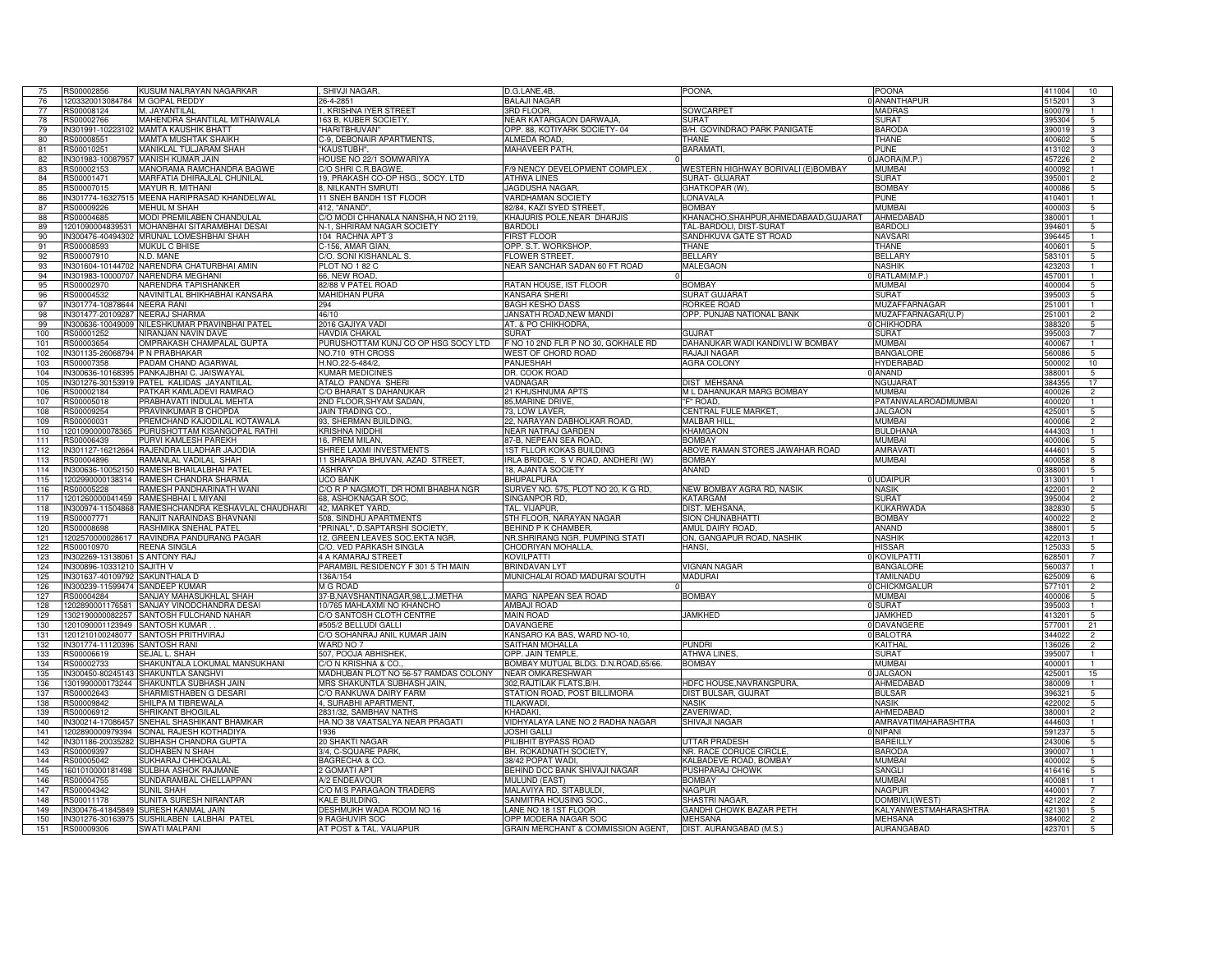| 75  | RS00002856                     | KUSUM NALRAYAN NAGARKAR                                            | SHIVJI NAGAR,                             | D.G.LANE,4B,                                               | POONA                               | <b>POONA</b>                 | 411004 | 10              |
|-----|--------------------------------|--------------------------------------------------------------------|-------------------------------------------|------------------------------------------------------------|-------------------------------------|------------------------------|--------|-----------------|
| 76  | 1203320013084784 M GOPAL REDDY |                                                                    | 26-4-2851                                 | <b>BALAJI NAGAR</b>                                        |                                     | <b>ANANTHAPUR</b>            | 515201 | 3               |
| 77  | RS00008124                     | M. JAYANTILAL                                                      | 1, KRISHNA IYER STREET                    | 3RD FLOOR.                                                 | SOWCARPET                           | <b>MADRAS</b>                | 600079 | $\mathbf{1}$    |
| 78  | RS00002766                     | MAHENDRA SHANTILAL MITHAIWALA                                      | 163 B, KUBER SOCIETY,                     | <b>NEAR KATARGAON DARWAJA</b>                              | SLIRAT                              | <b>SURAT</b>                 | 395304 | 5               |
| 79  |                                | IN301991-10223102 MAMTA KAUSHIK BHATT                              | "HARITBHUVAN"                             | OPP. 88, KOTIYARK SOCIETY-04                               | B/H. GOVINDRAO PARK PANIGATE        | <b>BARODA</b>                | 390019 | 3               |
| 80  | RS00008551                     | MAMTA MUSHTAK SHAIKH                                               | C-9. DEBONAIR APARTMENTS.                 | ALMEDA ROAD.                                               | <b>THANE</b>                        | THANE                        | 400602 |                 |
|     |                                |                                                                    |                                           |                                                            |                                     |                              |        | 5               |
| 81  | RS00010251                     | MANIKLAL TULJARAM SHAH                                             | 'KAUSTUBH".                               | MAHAVEER PATH.                                             | BARAMATI.                           | <b>PUNE</b>                  | 413102 | 3               |
| 82  |                                | IN301983-10087957 MANISH KUMAR JAIN                                | HOUSE NO 22/1 SOMWARIYA                   |                                                            |                                     | JAORA(M.P.)                  | 457226 | $\overline{2}$  |
| 83  | RS00002153                     | MANORAMA RAMCHANDRA BAGWE                                          | /O SHRI C.R.BAGWE,                        | 9 NENCY DEVELOPMENT COMPLEX                                | WESTERN HIGHWAY BORIVALI (E)BOMBAY  | <b>MUMBAI</b>                | 400092 |                 |
| 84  | RS00001471                     | MARFATIA DHIRAJLAL CHUNILAL                                        | 19, PRAKASH CO-OP HSG., SOCY. LTD         | ATHWA LINES                                                | SURAT- GUJARAT                      | <b>SURAT</b>                 | 395001 | $\overline{2}$  |
| 85  | RS00007015                     | MAYUR R. MITHANI                                                   | 8, NILKANTH SMRUTI                        | JAGDUSHA NAGAR,                                            | GHATKOPAR (W).                      | <b>BOMBAY</b>                | 400086 |                 |
| 86  |                                | IN301774-16327515 MEENA HARIPRASAD KHANDELWAL                      | 11 SNEH BANDH 1ST FLOOR                   | VARDHAMAN SOCIETY                                          | LONAVALA                            | PUNE                         | 410401 |                 |
| 87  | RS00009226                     | MEHUL M SHAH                                                       | 412, "ANAND"                              | 82/84, KAZI SYED STREET                                    | <b>BOMBAY</b>                       | <b>MUMBAI</b>                | 400003 | 5               |
|     |                                |                                                                    |                                           |                                                            |                                     |                              |        |                 |
| 88  | RS00004685                     | MODI PREMILABEN CHANDULAL                                          | C/O MODI CHHANALA NANSHA.H NO 2119.       | KHAJURIS POLE.NEAR DHARJIS                                 | KHANACHO.SHAHPUR.AHMEDABAAD.GUJARAT | AHMEDABAD                    | 380001 |                 |
| 89  | 1201090004839531               | MOHANBHAI SITARAMBHAI DESAI                                        | N-1. SHRIRAM NAGAR SOCIETY                | <b>BARDOLI</b>                                             | TAL-BARDOLI, DIST-SURAT             | <b>BARDOLI</b>               | 394601 | $\overline{5}$  |
| 90  | IN300476-40494302              | MRUNAL LOMESHBHAI SHAH                                             | 104 RACHNA APT 3                          | <b>FIRST FLOOR</b>                                         | SANDHKUVA GATE ST ROAD              | <b>NAVSARI</b>               | 396445 |                 |
| 91  | RS00008593                     | <b>MUKUL C BHISE</b>                                               | C-156, AMAR GIAN,                         | OPP. S.T. WORKSHOP.                                        | THANE                               | THANE                        | 400601 | 5               |
| 92  | RS00007910                     | N.D. MANE                                                          | C/O. SONI KISHANLAL S.                    | FLOWER STREET                                              | BELLARY                             | <b>BELLARY</b>               | 583101 | 5               |
| 93  | IN301604-10144702              | NARENDRA CHATURBHAI AMIN                                           | PLOT NO 182 C                             | <b>VEAR SANCHAR SADAN 60 FT ROAD</b>                       | <b>MALEGAON</b>                     | <b>NASHIK</b>                | 423203 |                 |
| 94  | IN301983-10000707              | NARENDRA MEGHANI                                                   | 66, NEW ROAD,                             |                                                            |                                     | RATLAM(M.P.)                 | 457001 |                 |
|     |                                |                                                                    |                                           |                                                            |                                     |                              |        |                 |
| 95  | RS00002970                     | NARENDRA TAPISHANKER                                               | 82/88 V PATEL ROAD                        | RATAN HOUSE, IST FLOOR                                     | <b>BOMBAY</b>                       | <b>MUMBAI</b>                | 400004 | 5               |
| 96  | RS00004532                     | VAVINITLAL BHIKHABHAI KANSARA                                      | <b>MAHIDHAN PURA</b>                      | <b>KANSARA SHERI</b>                                       | SURAT GUJARAT                       | <b>SURAT</b>                 | 395003 | 5               |
| 97  | IN301774-10878644              | <b>VEERA RANI</b>                                                  | 294                                       | BAGH KESHO DAS:                                            | <b>ORKEE ROAD</b>                   | MUZAFFARNAGAR                | 251001 | -1              |
| 98  | IN301477-20109287              | NEERAJ SHARMA                                                      | 46/10                                     | JANSATH ROAD.NEW MANDI                                     | OPP. PUNJAB NATIONAL BANK           | MUZAFFARNAGAR(U.P)           | 251001 | $\overline{2}$  |
| 99  | P00PA001-36-300201             | <b>ILESHKUMAR PRAVINBHAI PATEL</b>                                 | 2016 GAJIYA VADI                          | AT. & PO CHIKHODRA.                                        |                                     | <b>CHIKHODRA</b>             | 388321 | 5               |
| 100 | RS00001252                     | IIRANJAN NAVIN DAVE                                                | HAVDIA CHAKAL                             | SURAT                                                      | GUJRAT                              | SURAT                        | 395003 |                 |
|     |                                |                                                                    |                                           |                                                            |                                     |                              |        |                 |
| 101 | RS00003654                     | MPRAKASH CHAMPALAL GUPTA                                           | PURUSHOTTAM KUNJ CO OP HSG SOCY LTD       | NO 10 2ND FLR P NO 30, GOKHALE RD                          | DAHANUKAR WADI KANDIVLI W BOMBAY    | <b>MUMBAI</b>                | 40006  |                 |
| 102 | IN301135-26068794              | P N PRABHAKAR                                                      | NO.710 9TH CROSS                          | WEST OF CHORD ROAD                                         | RAJAJI NAGAR                        | <b>BANGALORE</b>             | 560086 |                 |
| 103 | RS00007358                     | PADAM CHAND AGARWAL                                                | H.NO.22-5-484/2,                          | PANJESHAH                                                  | <b>AGRA COLONY</b>                  | <b>HYDERABAD</b>             | 500002 | 10              |
| 104 | IN300636-10168395              | PANKAJBHAI C. JAISWAYAL                                            | <b>KUMAR MEDICINES</b>                    | DR. COOK ROAD                                              |                                     | 0 ANAND                      | 388001 | $\overline{5}$  |
| 105 | IN301276-30153919              | PATEL KALIDAS JAYANTILAL                                           | ATALO PANDYA SHERI                        | VADNAGAR                                                   | <b>DIST MEHSANA</b>                 | NGUJARA <sup>-</sup>         | 384355 | 17              |
| 106 | RS00002184                     | ATKAR KAMLADEVI RAMRAO                                             | C/O BHARAT S DAHANUKAR                    | 21 KHUSHNUMA APTS                                          | M L DAHANUKAR MARG BOMBAY           | <b>MUMBAI</b>                | 400026 | $\overline{2}$  |
| 107 | RS00005018                     | <b>PRABHAVATI INDULAL MEHTA</b>                                    | 2ND FLOOR.SHYAM SADAN.                    | 85, MARINE DRIVE,                                          | "F" ROAD.                           | <b>PATANWALAROADMUMBAI</b>   | 400020 |                 |
|     |                                |                                                                    |                                           |                                                            |                                     |                              |        |                 |
| 108 | RS00009254                     | PRAVINKUMAR B CHOPDA                                               | <b>JAIN TRADING CO.</b>                   | 73. LOW LAVER.                                             | <b>CENTRAL FULE MARKET</b>          | <b>JALGAON</b>               | 425001 | -5              |
| 109 | RS00000031                     | PREMCHAND KAJODILAL KOTAWALA                                       | 93, SHERMAN BUILDING,                     | 22, NARAYAN DABHOLKAR ROAD,                                | MALBAR HILL,                        | <b>MUMBAI</b>                | 400006 | $\overline{2}$  |
| 110 |                                | 1201090000078365 PURUSHOTTAM KISANGOPAL RATHI                      | KRISHNA NIDDHI                            | NEAR NATRAJ GARDEN                                         | <b>KHAMGAON</b>                     | <b>BULDHANA</b>              | 444303 |                 |
| 111 | RS00006439                     | PURVI KAMLESH PAREKH                                               | 16. PREM MILAN.                           | 87-B, NEPEAN SEA ROAD                                      | <b>BOMBAY</b>                       | MUMBAI                       | 400006 | -5              |
| 112 |                                | IN301127-16212664 RAJENDRA LILADHAR JAJODIA                        | SHREE LAXMI INVESTMENTS                   | <b>1ST FLLOR KOKAS BUILDING</b>                            | ABOVE RAMAN STORES JAWAHAR ROAD     | <b>AMRAVATI</b>              | 444601 | 5               |
| 113 | RS00004896                     | RAMANLAL VADILAL SHAH                                              | 11 SHARADA BHUVAN, AZAD STREET.           | IRLA BRIDGE, S V ROAD, ANDHERI (W)                         | <b>BOMBAY</b>                       | MUMBAI                       | 400058 | 8               |
| 114 | IN300636-10052150              | RAMESH BHAILALBHAI PATEL                                           | 'ASHRAY'                                  | 18, AJANTA SOCIETY                                         | ANAND                               |                              | 388001 | 5               |
|     |                                |                                                                    |                                           |                                                            |                                     |                              |        |                 |
| 115 | 1202990000138314               | RAMESH CHANDRA SHARMA                                              | UCO BANK                                  | BHUPALPURA                                                 |                                     | <b>UDAIPUR</b>               | 313001 | $\mathbf{1}$    |
| 116 | RS00005228                     | RAMESH PANDHARINATH WANI                                           | O R P NAGMOTI. DR HOMI BHABHA NGR         | SURVEY NO. 575, PLOT NO 20, K G RD,                        | <b>NEW BOMBAY AGRA RD, NASIK</b>    | <b>NASIK</b>                 | 42200  | $\overline{2}$  |
| 117 | 1201260000041459               | RAMESHBHAI L MIYANI                                                | 58, ASHOKNAGAR SOC,                       | SINGANPOR RD,                                              | KATARGAM                            | <b>SURAT</b>                 | 395004 | $\overline{2}$  |
| 118 | IN300974-11504868              | RAMESHCHANDRA KESHAVLAL CHAUDHARI                                  | 42, MARKET YARD,                          | TAL. VIJAPUR,                                              | <b>DIST. MEHSANA</b>                | <b>KUKARWADA</b>             | 382830 |                 |
| 119 | RS00007771                     | RANJIT NARAINDAS BHAVNANI                                          | 508, SINDHU APARTMENTS                    | 5TH FLOOR, NARAYAN NAGAR                                   | SION CHUNABHATTI                    | <b>BOMBAY</b>                | 40002  |                 |
| 120 | RS00008698                     | RASHMIKA SNEHAL PATEL                                              | "PRINAL", D.SAPTARSHI SOCIETY,            | BEHIND P K CHAMBER,                                        | AMUL DAIRY ROAD.                    | ANAND                        | 388001 | $\overline{5}$  |
| 121 |                                | 1202570000028617 RAVINDRA PANDURANG PAGAR                          | 12, GREEN LEAVES SOC.EKTA NGR.            | NR.SHRIRANG NGR. PUMPING STATI                             | ON, GANGAPUR ROAD, NASHIK           | <b>NASHIK</b>                | 422013 |                 |
|     |                                | REENA SINGLA                                                       |                                           | CHODRIYAN MOHALLA.                                         |                                     | <b>HISSAR</b>                |        | 5               |
| 122 | RS00010970                     |                                                                    | C/O. VED PARKASH SINGLA                   |                                                            | HANSI.                              |                              | 125033 |                 |
| 123 | IN302269-13138061              | S ANTONY RAJ                                                       | <b>4 A KAMARAJ STREET</b>                 | KOVILPATTI                                                 |                                     | <b>DIKOVILPATT</b>           | 628501 |                 |
| 124 | IN300896-10331210              | V HTILAS                                                           | PARAMBIL RESIDENCY F 301 5 TH MAIN        | <b>BRINDAVAN LYT</b>                                       | VIGNAN NAGAR                        | <b>BANGALORE</b>             | 560037 |                 |
| 125 | IN301637-40109792              | SAKUNTHALA D                                                       | 136A/154                                  | MUNICHALAI ROAD MADURAI SOUTH                              | <b>MADURAI</b>                      | TAMILNADU                    | 325009 | 6               |
| 126 | IN300239-11599474              | <b>SANDEEP KUMAR</b>                                               | M G ROAD                                  |                                                            |                                     | <b>CHICKMGALUR</b>           | 577101 | $\overline{2}$  |
| 127 | RS00004284                     | SANJAY MAHASUKHLAL SHAH                                            | 37-B, NAVSHANTINAGAR, 98, L.J. METHA      | MARG NAPEAN SEA ROAD                                       | <b>BOMBAY</b>                       | <b>MUMBAI</b>                | 400006 | 5               |
| 128 | 1202890001176581               | SANJAY VINODCHANDRA DESAI                                          | 10/765 MAHLAXMI NO KHANCHO                | AMBAJI ROAD                                                |                                     | 0 SURAT                      | 395003 | -1              |
| 129 | 1302190000082257               | SANTOSH FULCHAND NAHAR                                             | C/O SANTOSH CLOTH CENTRE                  | <b>MAIN ROAD</b>                                           | <b>JAMKHED</b>                      | <b>JAMKHED</b>               | 413201 |                 |
| 130 | 1201090001123949               | <b>SANTOSH KUMAR</b>                                               | #505/2 BELLUDI GALLI                      | <b>DAVANGERE</b>                                           |                                     | 0 DAVANGERE                  | 577001 | 5               |
|     |                                |                                                                    | C/O SOHANRAJ ANIL KUMAR JAIN              | (ANSARO KA BAS, WARD NO-10,                                |                                     |                              |        | 21              |
| 131 | 1201210100248077               |                                                                    |                                           |                                                            |                                     | 0 BALOTRA                    | 344022 | $\overline{2}$  |
| 132 |                                | <b>SANTOSH PRITHVIRAJ</b>                                          |                                           |                                                            |                                     |                              |        | $\overline{2}$  |
|     | IN301774-11120396              | <b>SANTOSH RANI</b>                                                | WARD NO 7                                 | SAITHAN MOHALLA                                            | Pundri                              | <b>KAITHAL</b>               | 136026 |                 |
| 133 | RS00006619                     | EJAL L. SHAH                                                       | 507, POOJA ABHISHEK,                      | OPP. JAIN TEMPLE.                                          | ATHWA LINES                         | SURAT                        | 39500  |                 |
| 134 | RS00002733                     | HAKUNTALA LOKUMAL MANSUKHANI                                       | O N KRISHNA & CO.                         | BOMBAY MUTUAL BLDG. D.N.ROAD,65/66                         | <b>BOMBAY</b>                       | <b>MUMBAI</b>                | 400001 |                 |
|     |                                |                                                                    |                                           |                                                            |                                     |                              |        |                 |
| 135 | IN300450-80245143              | SHAKUNTLA SANGHVI                                                  | MADHUBAN PLOT NO 56-57 RAMDAS COLONY      | NEAR OMKARESHWAR                                           |                                     | <b>JALGAON</b>               | 125001 | 15              |
| 136 | 1301990000173244               | SHAKUNTLA SUBHASH JAIN                                             | MRS SHAKUNTLA SUBHASH JAIN,               | 302, RAJTILAK FLATS, B/H                                   | HDFC HOUSE, NAVRANGPURA,            | AHMEDABAD                    | 380009 |                 |
| 137 | RS00002643                     | SHARMISTHABEN G DESARI                                             | C/O RANKUWA DAIRY FARM                    | STATION ROAD, POST BILLIMORA                               | DIST BULSAR, GUJRAT                 | <b>BULSAR</b>                | 396321 | 5               |
| 138 | RS00009842                     | SHILPA M TIBREWALA                                                 | 4. SURABHI APARTMENT                      | <b>TILAKWADI</b>                                           | <b>NASIK</b>                        | <b>NASIK</b>                 | 422002 | $\overline{5}$  |
| 139 | RS00006912                     | SHRIKANT BHOGILAL                                                  | 2831/32, SAMBHAV NATHS                    | KHADAKI.                                                   | ZAVERIWAD                           | AHMEDABAD                    | 380001 | $\overline{2}$  |
| 140 | IN300214-17086457              | SNEHAL SHASHIKANT BHAMKAR                                          | HA NO 38 VAATSALYA NEAR PRAGATI           | VIDHYALAYA LANE NO 2 RADHA NAGAR                           | SHIVAJI NAGAR                       | AMRAVATIMAHARASHTRA          | 444603 |                 |
| 141 | 1202890000979394               | SONAL RAJESH KOTHADIYA                                             | 1936                                      | <b>JOSHI GALLI</b>                                         |                                     | NIPANI                       | 591237 | $\overline{5}$  |
| 142 | IN301186-20035282              | SUBHASH CHANDRA GUPTA                                              | 20 SHAKTI NAGAR                           |                                                            | <b>UTTAR PRADESH</b>                | <b>BAREILLY</b>              | 243006 | -5              |
|     |                                |                                                                    |                                           | PILIBHIT BYPASS ROAD                                       |                                     |                              |        |                 |
| 143 | RS00009397                     | SUDHABEN N SHAH                                                    | 3/4, C-SQUARE PARK.                       | BH. ROKADNATH SOCIETY,                                     | NR. RACE CORUCE CIRCLE              | <b>BARODA</b>                | 390007 |                 |
| 144 | RS00005042                     | SUKHARAJ CHHOGALA                                                  | BAGRECHA & CO.                            | 38/42 POPAT WADI                                           | KALBADEVE ROAD, BOMBAY              | MUMBAI                       | 400002 | -5              |
| 145 |                                | 1601010000181498 SULBHA ASHOK RAJMANE                              | 2 GOMATI APT                              | BEHIND DCC BANK SHIVAJI NAGAR                              | PUSHPARAJ CHOWK                     | SANGLI                       | 416416 | $5\overline{5}$ |
| 146 | RS00004755                     | SUNDARAMBAL CHELLAPPAN                                             | A/2 ENDEAVOUR                             | MULUND (EAST)                                              | <b>BOMBAY</b>                       | <b>MUMBAI</b>                | 400081 | $\mathbf{1}$    |
| 147 | RS00004342                     | SUNIL SHAH                                                         | C/O M/S PARAGAON TRADERS                  | MALAVIYA RD, SITABULDI.                                    | NAGPUR                              | NAGPUR                       | 440001 |                 |
| 148 | RS00011178                     | <b>SUNITA SURESH NIRANTAR</b>                                      | KALE BUILDING.                            | SANMITRA HOUSING SOC                                       | SHASTRI NAGAR.                      | DOMBIVLI(WEST)               | 421202 | $\overline{2}$  |
| 149 | IN300476-41845849              | SURESH KANMAL JAIN                                                 | DESHMUKH WADA ROOM NO 16                  | LANE NO 18 1ST FLOOR                                       | GANDHI CHOWK BAZAR PETH             | KALYANWESTMAHARASHTRA        | 421301 | 5               |
| 150 |                                |                                                                    |                                           |                                                            | <b>MEHSANA</b>                      |                              | 38400  |                 |
| 151 | BS00009306                     | IN301276-30163975 SUSHILABEN LALBHAI PATEL<br><b>SWATI MALPANI</b> | 9 RAGHUVIR SOC<br>AT POST & TAL. VAIJAPUR | OPP MODERA NAGAR SOC<br>GRAIN MERCHANT & COMMISSION AGENT, | DIST. AURANGABAD (M.S.)             | <b>MEHSANA</b><br>AURANGABAD |        | $\overline{2}$  |